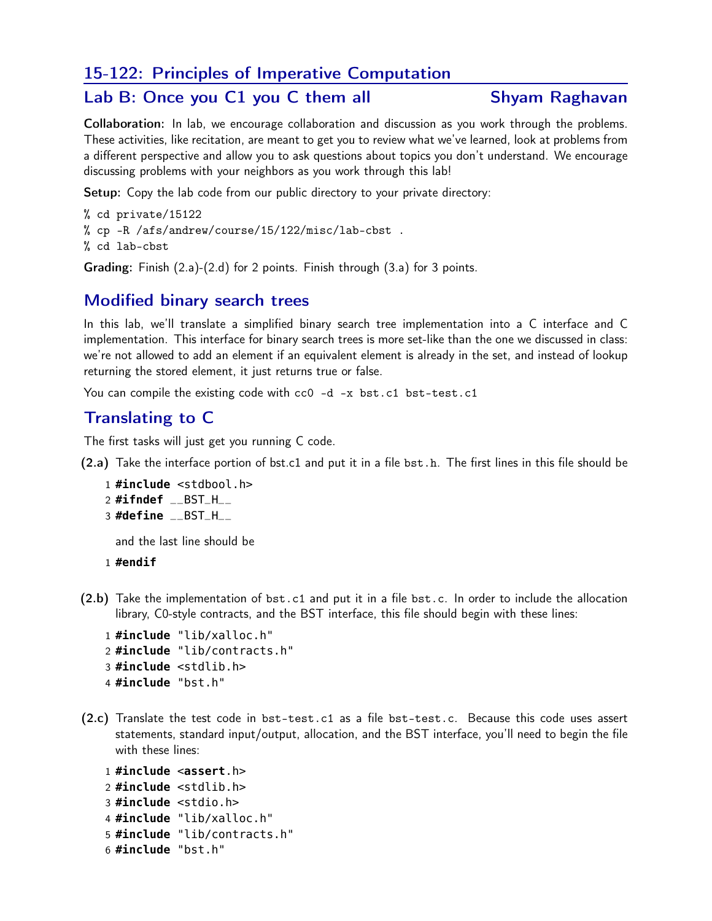### 15-122: Principles of Imperative Computation

### Lab B: Once you C1 you C them all Shyam Raghavan

Collaboration: In lab, we encourage collaboration and discussion as you work through the problems. These activities, like recitation, are meant to get you to review what we've learned, look at problems from a different perspective and allow you to ask questions about topics you don't understand. We encourage discussing problems with your neighbors as you work through this lab!

Setup: Copy the lab code from our public directory to your private directory:

% cd private/15122 % cp -R /afs/andrew/course/15/122/misc/lab-cbst . % cd lab-cbst Grading: Finish (2.a)-(2.d) for 2 points. Finish through (3.a) for 3 points.

#### Modified binary search trees

In this lab, we'll translate a simplified binary search tree implementation into a C interface and C implementation. This interface for binary search trees is more set-like than the one we discussed in class: we're not allowed to add an element if an equivalent element is already in the set, and instead of lookup returning the stored element, it just returns true or false.

You can compile the existing code with cc0 -d -x bst.c1 bst-test.c1

## Translating to C

The first tasks will just get you running C code.

(2.a) Take the interface portion of bst.c1 and put it in a file bst.h. The first lines in this file should be

```
1 #include <stdbool.h>
2 #ifndef __BST_H__
3 #define __BST_H__
```
and the last line should be

1 **#endif**

(2.b) Take the implementation of bst.c1 and put it in a file bst.c. In order to include the allocation library, C0-style contracts, and the BST interface, this file should begin with these lines:

```
1 #include "lib/xalloc.h"
2 #include "lib/contracts.h"
3 #include <stdlib.h>
4 #include "bst.h"
```
(2.c) Translate the test code in bst-test.c1 as a file bst-test.c. Because this code uses assert statements, standard input/output, allocation, and the BST interface, you'll need to begin the file with these lines:

```
1 #include <assert.h>
2 #include <stdlib.h>
3 #include <stdio.h>
4 #include "lib/xalloc.h"
5 #include "lib/contracts.h"
6 #include "bst.h"
```